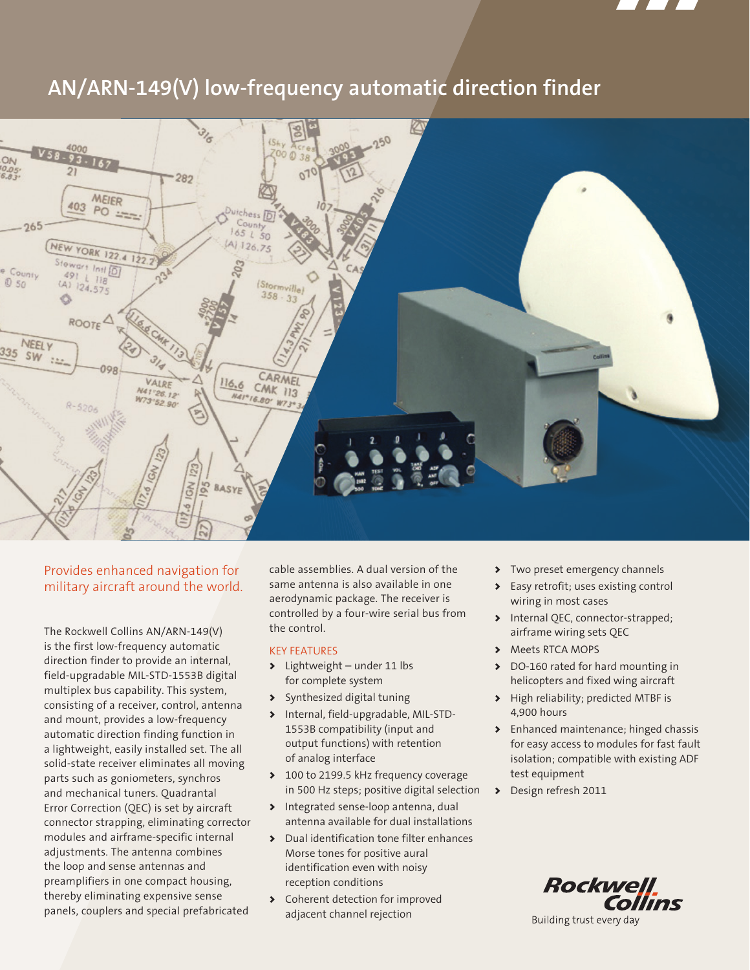

# **AN/ARN-149(V) low-frequency automatic direction finder**



# Provides enhanced navigation for military aircraft around the world.

The Rockwell Collins AN/ARN-149(V) is the first low-frequency automatic direction finder to provide an internal, field-upgradable MIL-STD-1553B digital multiplex bus capability. This system, consisting of a receiver, control, antenna and mount, provides a low-frequency automatic direction finding function in a lightweight, easily installed set. The all solid-state receiver eliminates all moving parts such as goniometers, synchros and mechanical tuners. Quadrantal Error Correction (QEC) is set by aircraft connector strapping, eliminating corrector modules and airframe-specific internal adjustments. The antenna combines the loop and sense antennas and preamplifiers in one compact housing, thereby eliminating expensive sense panels, couplers and special prefabricated

cable assemblies. A dual version of the same antenna is also available in one aerodynamic package. The receiver is controlled by a four-wire serial bus from the control.

# KEY FEATURES

- > Lightweight under 11 lbs for complete system
- > Synthesized digital tuning
- > Internal, field-upgradable, MIL-STD-1553B compatibility (input and output functions) with retention of analog interface
- ◆ 100 to 2199.5 kHz frequency coverage in 500 Hz steps; positive digital selection
- > Integrated sense-loop antenna, dual antenna available for dual installations
- > Dual identification tone filter enhances Morse tones for positive aural identification even with noisy reception conditions
- > Coherent detection for improved adjacent channel rejection
- > Two preset emergency channels
- > Easy retrofit; uses existing control wiring in most cases
- > Internal QEC, connector-strapped; airframe wiring sets QEC
- > Meets RTCA MOPS
- > DO-160 rated for hard mounting in helicopters and fixed wing aircraft
- > High reliability; predicted MTBF is 4,900 hours
- > Enhanced maintenance; hinged chassis for easy access to modules for fast fault isolation; compatible with existing ADF test equipment
- > Design refresh 2011